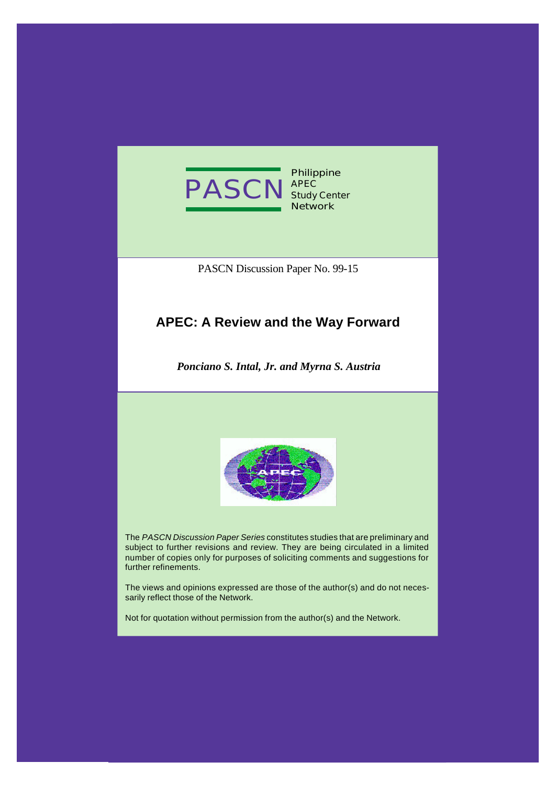

**Philippine APEC Study Center Network**

PASCN Discussion Paper No. 99-15

## **APEC: A Review and the Way Forward**

*Ponciano S. Intal, Jr. and Myrna S. Austria*



The *PASCN Discussion Paper Series* constitutes studies that are preliminary and subject to further revisions and review. They are being circulated in a limited number of copies only for purposes of soliciting comments and suggestions for further refinements.

The views and opinions expressed are those of the author(s) and do not necessarily reflect those of the Network.

Not for quotation without permission from the author(s) and the Network.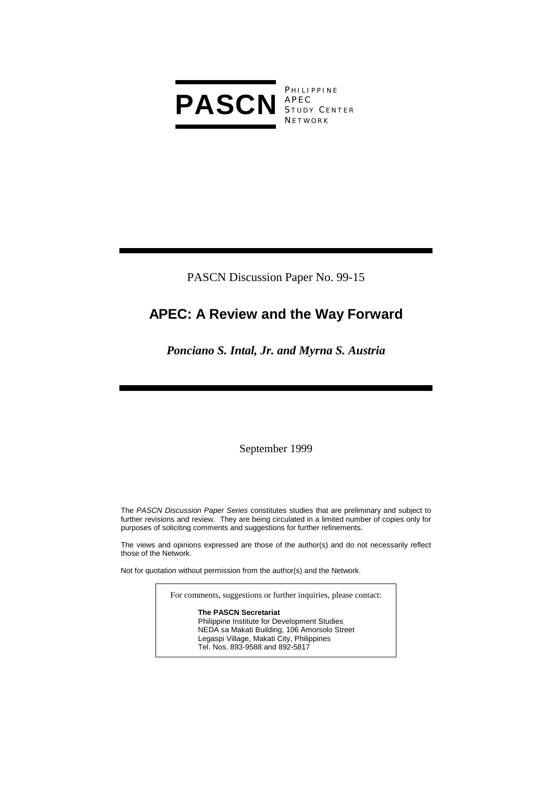

**PHILIPPINE** S TUDY C ENTER **NETWORK** 

PASCN Discussion Paper No. 99-15

# **APEC: A Review and the Way Forward**

## *Ponciano S. Intal, Jr. and Myrna S. Austria*

September 1999

The *PASCN Discussion Paper Series* constitutes studies that are preliminary and subject to further revisions and review. They are being circulated in a limited number of copies only for purposes of soliciting comments and suggestions for further refinements.

The views and opinions expressed are those of the author(s) and do not necessarily reflect those of the Network.

Not for quotation without permission from the author(s) and the Network.

For comments, suggestions or further inquiries, please contact:

**The PASCN Secretariat** Philippine Institute for Development Studies NEDA sa Makati Building, 106 Amorsolo Street Legaspi Village, Makati City, Philippines Tel. Nos. 893-9588 and 892-5817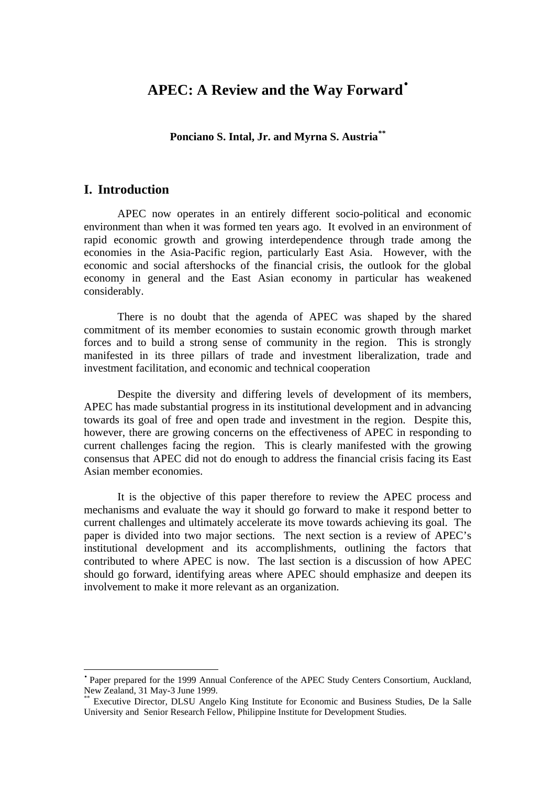## **APEC: A Review and the Way Forward**•

**Ponciano S. Intal, Jr. and Myrna S. Austria***\*\**

### **I. Introduction**

 $\overline{a}$ 

APEC now operates in an entirely different socio-political and economic environment than when it was formed ten years ago. It evolved in an environment of rapid economic growth and growing interdependence through trade among the economies in the Asia-Pacific region, particularly East Asia. However, with the economic and social aftershocks of the financial crisis, the outlook for the global economy in general and the East Asian economy in particular has weakened considerably.

There is no doubt that the agenda of APEC was shaped by the shared commitment of its member economies to sustain economic growth through market forces and to build a strong sense of community in the region. This is strongly manifested in its three pillars of trade and investment liberalization, trade and investment facilitation, and economic and technical cooperation

Despite the diversity and differing levels of development of its members, APEC has made substantial progress in its institutional development and in advancing towards its goal of free and open trade and investment in the region. Despite this, however, there are growing concerns on the effectiveness of APEC in responding to current challenges facing the region. This is clearly manifested with the growing consensus that APEC did not do enough to address the financial crisis facing its East Asian member economies.

It is the objective of this paper therefore to review the APEC process and mechanisms and evaluate the way it should go forward to make it respond better to current challenges and ultimately accelerate its move towards achieving its goal. The paper is divided into two major sections. The next section is a review of APEC's institutional development and its accomplishments, outlining the factors that contributed to where APEC is now. The last section is a discussion of how APEC should go forward, identifying areas where APEC should emphasize and deepen its involvement to make it more relevant as an organization.

<sup>•</sup> Paper prepared for the 1999 Annual Conference of the APEC Study Centers Consortium, Auckland, New Zealand, 31 May-3 June 1999.

<sup>\*\*</sup> Executive Director, DLSU Angelo King Institute for Economic and Business Studies, De la Salle University and Senior Research Fellow, Philippine Institute for Development Studies.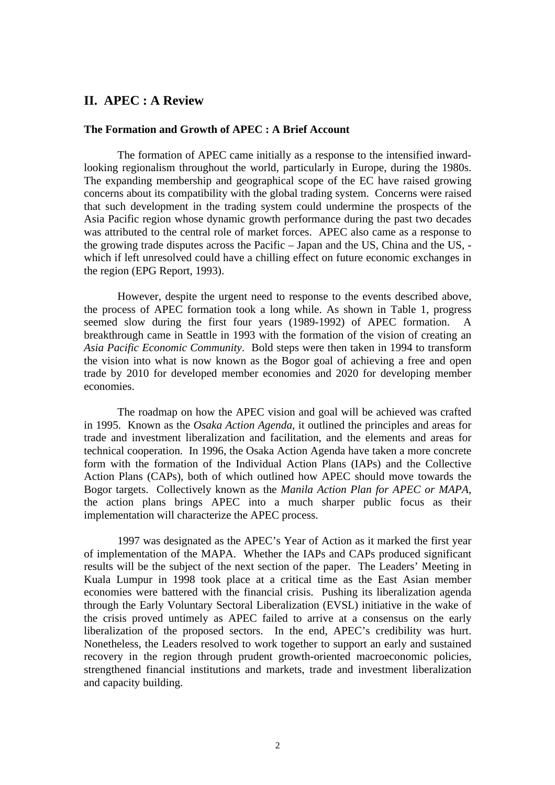## **II. APEC : A Review**

#### **The Formation and Growth of APEC : A Brief Account**

The formation of APEC came initially as a response to the intensified inwardlooking regionalism throughout the world, particularly in Europe, during the 1980s. The expanding membership and geographical scope of the EC have raised growing concerns about its compatibility with the global trading system. Concerns were raised that such development in the trading system could undermine the prospects of the Asia Pacific region whose dynamic growth performance during the past two decades was attributed to the central role of market forces. APEC also came as a response to the growing trade disputes across the Pacific – Japan and the US, China and the US, which if left unresolved could have a chilling effect on future economic exchanges in the region (EPG Report, 1993).

However, despite the urgent need to response to the events described above, the process of APEC formation took a long while. As shown in Table 1, progress seemed slow during the first four years (1989-1992) of APEC formation. A breakthrough came in Seattle in 1993 with the formation of the vision of creating an *Asia Pacific Economic Community*. Bold steps were then taken in 1994 to transform the vision into what is now known as the Bogor goal of achieving a free and open trade by 2010 for developed member economies and 2020 for developing member economies.

The roadmap on how the APEC vision and goal will be achieved was crafted in 1995. Known as the *Osaka Action Agenda*, it outlined the principles and areas for trade and investment liberalization and facilitation, and the elements and areas for technical cooperation. In 1996, the Osaka Action Agenda have taken a more concrete form with the formation of the Individual Action Plans (IAPs) and the Collective Action Plans (CAPs), both of which outlined how APEC should move towards the Bogor targets. Collectively known as the *Manila Action Plan for APEC or MAPA*, the action plans brings APEC into a much sharper public focus as their implementation will characterize the APEC process.

1997 was designated as the APEC's Year of Action as it marked the first year of implementation of the MAPA. Whether the IAPs and CAPs produced significant results will be the subject of the next section of the paper. The Leaders' Meeting in Kuala Lumpur in 1998 took place at a critical time as the East Asian member economies were battered with the financial crisis. Pushing its liberalization agenda through the Early Voluntary Sectoral Liberalization (EVSL) initiative in the wake of the crisis proved untimely as APEC failed to arrive at a consensus on the early liberalization of the proposed sectors. In the end, APEC's credibility was hurt. Nonetheless, the Leaders resolved to work together to support an early and sustained recovery in the region through prudent growth-oriented macroeconomic policies, strengthened financial institutions and markets, trade and investment liberalization and capacity building.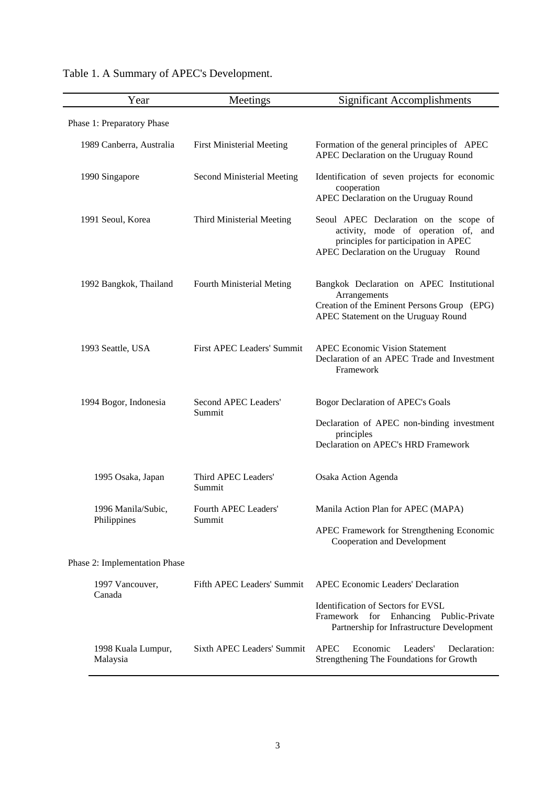| Year                              | Meetings                         | <b>Significant Accomplishments</b>                                                                                                                             |
|-----------------------------------|----------------------------------|----------------------------------------------------------------------------------------------------------------------------------------------------------------|
| Phase 1: Preparatory Phase        |                                  |                                                                                                                                                                |
| 1989 Canberra, Australia          | <b>First Ministerial Meeting</b> | Formation of the general principles of APEC<br>APEC Declaration on the Uruguay Round                                                                           |
| 1990 Singapore                    | Second Ministerial Meeting       | Identification of seven projects for economic<br>cooperation<br>APEC Declaration on the Uruguay Round                                                          |
| 1991 Seoul, Korea                 | Third Ministerial Meeting        | Seoul APEC Declaration on the scope of<br>activity, mode of operation of, and<br>principles for participation in APEC<br>APEC Declaration on the Uruguay Round |
| 1992 Bangkok, Thailand            | Fourth Ministerial Meting        | Bangkok Declaration on APEC Institutional<br>Arrangements<br>Creation of the Eminent Persons Group (EPG)<br>APEC Statement on the Uruguay Round                |
| 1993 Seattle, USA                 | First APEC Leaders' Summit       | <b>APEC Economic Vision Statement</b><br>Declaration of an APEC Trade and Investment<br>Framework                                                              |
| 1994 Bogor, Indonesia             | Second APEC Leaders'<br>Summit   | Bogor Declaration of APEC's Goals                                                                                                                              |
|                                   |                                  | Declaration of APEC non-binding investment<br>principles                                                                                                       |
|                                   |                                  | Declaration on APEC's HRD Framework                                                                                                                            |
| 1995 Osaka, Japan                 | Third APEC Leaders'<br>Summit    | Osaka Action Agenda                                                                                                                                            |
| 1996 Manila/Subic,<br>Philippines | Fourth APEC Leaders<br>Summit    | Manila Action Plan for APEC (MAPA)                                                                                                                             |
|                                   |                                  | APEC Framework for Strengthening Economic<br>Cooperation and Development                                                                                       |
| Phase 2: Implementation Phase     |                                  |                                                                                                                                                                |
| 1997 Vancouver,<br>Canada         | Fifth APEC Leaders' Summit       | <b>APEC Economic Leaders' Declaration</b>                                                                                                                      |
|                                   |                                  | Identification of Sectors for EVSL<br>Framework<br>for Enhancing Public-Private<br>Partnership for Infrastructure Development                                  |
| 1998 Kuala Lumpur,<br>Malaysia    | Sixth APEC Leaders' Summit       | <b>APEC</b><br>Economic<br>Leaders'<br>Declaration:<br>Strengthening The Foundations for Growth                                                                |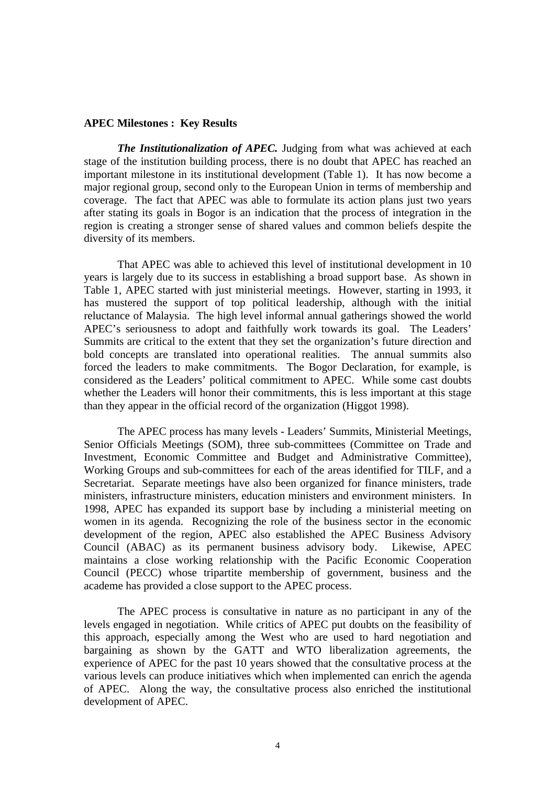#### **APEC Milestones : Key Results**

*The Institutionalization of APEC.* Judging from what was achieved at each stage of the institution building process, there is no doubt that APEC has reached an important milestone in its institutional development (Table 1). It has now become a major regional group, second only to the European Union in terms of membership and coverage. The fact that APEC was able to formulate its action plans just two years after stating its goals in Bogor is an indication that the process of integration in the region is creating a stronger sense of shared values and common beliefs despite the diversity of its members.

That APEC was able to achieved this level of institutional development in 10 years is largely due to its success in establishing a broad support base. As shown in Table 1, APEC started with just ministerial meetings. However, starting in 1993, it has mustered the support of top political leadership, although with the initial reluctance of Malaysia. The high level informal annual gatherings showed the world APEC's seriousness to adopt and faithfully work towards its goal. The Leaders' Summits are critical to the extent that they set the organization's future direction and bold concepts are translated into operational realities. The annual summits also forced the leaders to make commitments. The Bogor Declaration, for example, is considered as the Leaders' political commitment to APEC. While some cast doubts whether the Leaders will honor their commitments, this is less important at this stage than they appear in the official record of the organization (Higgot 1998).

The APEC process has many levels - Leaders' Summits, Ministerial Meetings, Senior Officials Meetings (SOM), three sub-committees (Committee on Trade and Investment, Economic Committee and Budget and Administrative Committee), Working Groups and sub-committees for each of the areas identified for TILF, and a Secretariat. Separate meetings have also been organized for finance ministers, trade ministers, infrastructure ministers, education ministers and environment ministers. In 1998, APEC has expanded its support base by including a ministerial meeting on women in its agenda. Recognizing the role of the business sector in the economic development of the region, APEC also established the APEC Business Advisory Council (ABAC) as its permanent business advisory body. Likewise, APEC maintains a close working relationship with the Pacific Economic Cooperation Council (PECC) whose tripartite membership of government, business and the academe has provided a close support to the APEC process.

The APEC process is consultative in nature as no participant in any of the levels engaged in negotiation. While critics of APEC put doubts on the feasibility of this approach, especially among the West who are used to hard negotiation and bargaining as shown by the GATT and WTO liberalization agreements, the experience of APEC for the past 10 years showed that the consultative process at the various levels can produce initiatives which when implemented can enrich the agenda of APEC. Along the way, the consultative process also enriched the institutional development of APEC.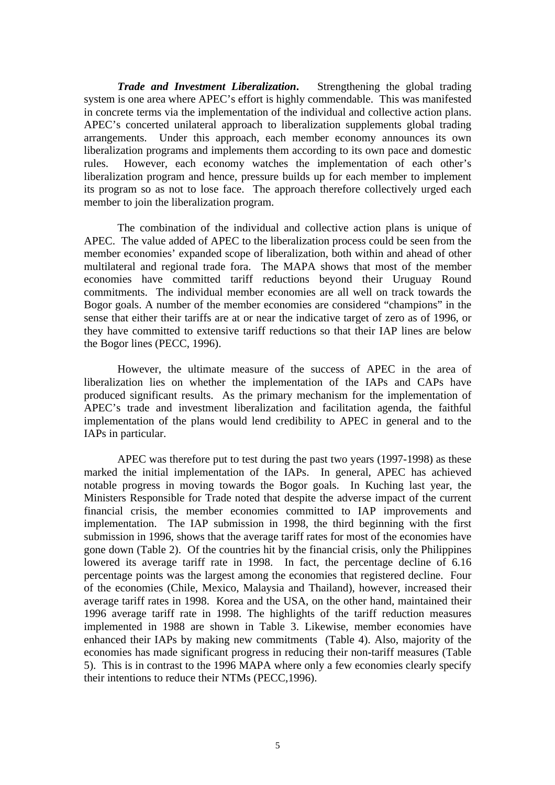*Trade and Investment Liberalization***.** Strengthening the global trading system is one area where APEC's effort is highly commendable. This was manifested in concrete terms via the implementation of the individual and collective action plans. APEC's concerted unilateral approach to liberalization supplements global trading arrangements. Under this approach, each member economy announces its own liberalization programs and implements them according to its own pace and domestic rules. However, each economy watches the implementation of each other's liberalization program and hence, pressure builds up for each member to implement its program so as not to lose face. The approach therefore collectively urged each member to join the liberalization program.

The combination of the individual and collective action plans is unique of APEC. The value added of APEC to the liberalization process could be seen from the member economies' expanded scope of liberalization, both within and ahead of other multilateral and regional trade fora. The MAPA shows that most of the member economies have committed tariff reductions beyond their Uruguay Round commitments. The individual member economies are all well on track towards the Bogor goals. A number of the member economies are considered "champions" in the sense that either their tariffs are at or near the indicative target of zero as of 1996, or they have committed to extensive tariff reductions so that their IAP lines are below the Bogor lines (PECC, 1996).

However, the ultimate measure of the success of APEC in the area of liberalization lies on whether the implementation of the IAPs and CAPs have produced significant results. As the primary mechanism for the implementation of APEC's trade and investment liberalization and facilitation agenda, the faithful implementation of the plans would lend credibility to APEC in general and to the IAPs in particular.

APEC was therefore put to test during the past two years (1997-1998) as these marked the initial implementation of the IAPs. In general, APEC has achieved notable progress in moving towards the Bogor goals. In Kuching last year, the Ministers Responsible for Trade noted that despite the adverse impact of the current financial crisis, the member economies committed to IAP improvements and implementation. The IAP submission in 1998, the third beginning with the first submission in 1996, shows that the average tariff rates for most of the economies have gone down (Table 2). Of the countries hit by the financial crisis, only the Philippines lowered its average tariff rate in 1998. In fact, the percentage decline of 6.16 percentage points was the largest among the economies that registered decline. Four of the economies (Chile, Mexico, Malaysia and Thailand), however, increased their average tariff rates in 1998. Korea and the USA, on the other hand, maintained their 1996 average tariff rate in 1998. The highlights of the tariff reduction measures implemented in 1988 are shown in Table 3. Likewise, member economies have enhanced their IAPs by making new commitments (Table 4). Also, majority of the economies has made significant progress in reducing their non-tariff measures (Table 5). This is in contrast to the 1996 MAPA where only a few economies clearly specify their intentions to reduce their NTMs (PECC,1996).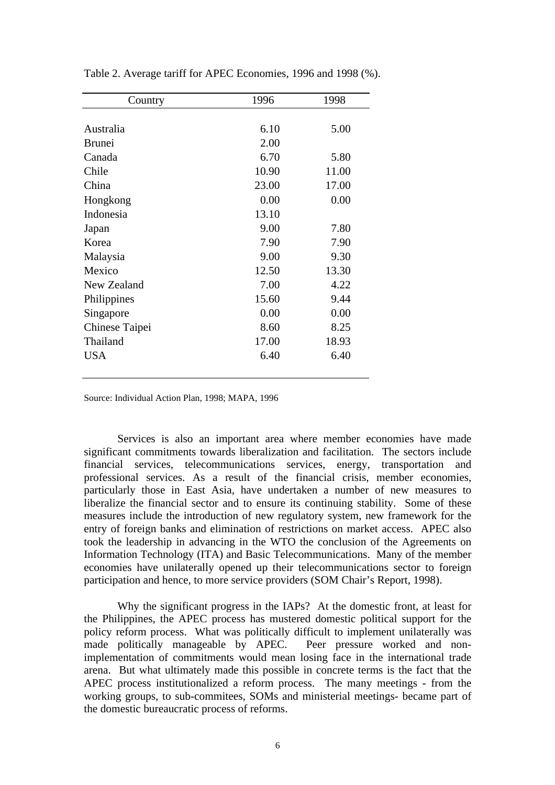| Country        | 1996  | 1998  |
|----------------|-------|-------|
|                |       |       |
| Australia      | 6.10  | 5.00  |
| <b>Brunei</b>  | 2.00  |       |
| Canada         | 6.70  | 5.80  |
| Chile          | 10.90 | 11.00 |
| China          | 23.00 | 17.00 |
| Hongkong       | 0.00  | 0.00  |
| Indonesia      | 13.10 |       |
| Japan          | 9.00  | 7.80  |
| Korea          | 7.90  | 7.90  |
| Malaysia       | 9.00  | 9.30  |
| Mexico         | 12.50 | 13.30 |
| New Zealand    | 7.00  | 4.22  |
| Philippines    | 15.60 | 9.44  |
| Singapore      | 0.00  | 0.00  |
| Chinese Taipei | 8.60  | 8.25  |
| Thailand       | 17.00 | 18.93 |
| <b>USA</b>     | 6.40  | 6.40  |
|                |       |       |

Table 2. Average tariff for APEC Economies, 1996 and 1998 (%).

Source: Individual Action Plan, 1998; MAPA, 1996

Services is also an important area where member economies have made significant commitments towards liberalization and facilitation. The sectors include financial services, telecommunications services, energy, transportation and professional services. As a result of the financial crisis, member economies, particularly those in East Asia, have undertaken a number of new measures to liberalize the financial sector and to ensure its continuing stability. Some of these measures include the introduction of new regulatory system, new framework for the entry of foreign banks and elimination of restrictions on market access. APEC also took the leadership in advancing in the WTO the conclusion of the Agreements on Information Technology (ITA) and Basic Telecommunications. Many of the member economies have unilaterally opened up their telecommunications sector to foreign participation and hence, to more service providers (SOM Chair's Report, 1998).

Why the significant progress in the IAPs? At the domestic front, at least for the Philippines, the APEC process has mustered domestic political support for the policy reform process. What was politically difficult to implement unilaterally was made politically manageable by APEC. Peer pressure worked and nonimplementation of commitments would mean losing face in the international trade arena. But what ultimately made this possible in concrete terms is the fact that the APEC process institutionalized a reform process. The many meetings - from the working groups, to sub-commitees, SOMs and ministerial meetings- became part of the domestic bureaucratic process of reforms.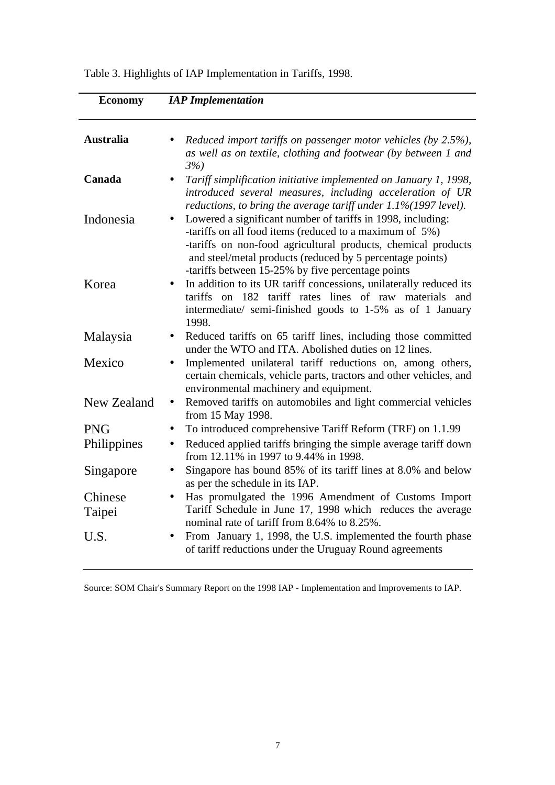| <b>Economy</b>    | <b>IAP</b> Implementation                                                                                                                                                                                                                                                                                 |
|-------------------|-----------------------------------------------------------------------------------------------------------------------------------------------------------------------------------------------------------------------------------------------------------------------------------------------------------|
| <b>Australia</b>  | Reduced import tariffs on passenger motor vehicles (by 2.5%),<br>as well as on textile, clothing and footwear (by between 1 and<br>3%                                                                                                                                                                     |
| Canada            | Tariff simplification initiative implemented on January 1, 1998,<br>introduced several measures, including acceleration of UR<br>reductions, to bring the average tariff under $1.1\%$ (1997 level).                                                                                                      |
| Indonesia         | Lowered a significant number of tariffs in 1998, including:<br>-tariffs on all food items (reduced to a maximum of 5%)<br>-tariffs on non-food agricultural products, chemical products<br>and steel/metal products (reduced by 5 percentage points)<br>-tariffs between 15-25% by five percentage points |
| Korea             | In addition to its UR tariff concessions, unilaterally reduced its<br>$\bullet$<br>tariffs on 182 tariff rates lines of raw materials and<br>intermediate/ semi-finished goods to 1-5% as of 1 January<br>1998.                                                                                           |
| Malaysia          | Reduced tariffs on 65 tariff lines, including those committed<br>$\bullet$<br>under the WTO and ITA. Abolished duties on 12 lines.                                                                                                                                                                        |
| Mexico            | Implemented unilateral tariff reductions on, among others,<br>certain chemicals, vehicle parts, tractors and other vehicles, and<br>environmental machinery and equipment.                                                                                                                                |
| New Zealand       | Removed tariffs on automobiles and light commercial vehicles<br>$\bullet$<br>from 15 May 1998.                                                                                                                                                                                                            |
| <b>PNG</b>        | To introduced comprehensive Tariff Reform (TRF) on 1.1.99<br>$\bullet$                                                                                                                                                                                                                                    |
| Philippines       | Reduced applied tariffs bringing the simple average tariff down<br>from 12.11% in 1997 to 9.44% in 1998.                                                                                                                                                                                                  |
| Singapore         | Singapore has bound 85% of its tariff lines at 8.0% and below<br>as per the schedule in its IAP.                                                                                                                                                                                                          |
| Chinese<br>Taipei | Has promulgated the 1996 Amendment of Customs Import<br>Tariff Schedule in June 17, 1998 which reduces the average<br>nominal rate of tariff from 8.64% to 8.25%.                                                                                                                                         |
| U.S.              | From January 1, 1998, the U.S. implemented the fourth phase<br>of tariff reductions under the Uruguay Round agreements                                                                                                                                                                                    |

Table 3. Highlights of IAP Implementation in Tariffs, 1998.

Source: SOM Chair's Summary Report on the 1998 IAP - Implementation and Improvements to IAP.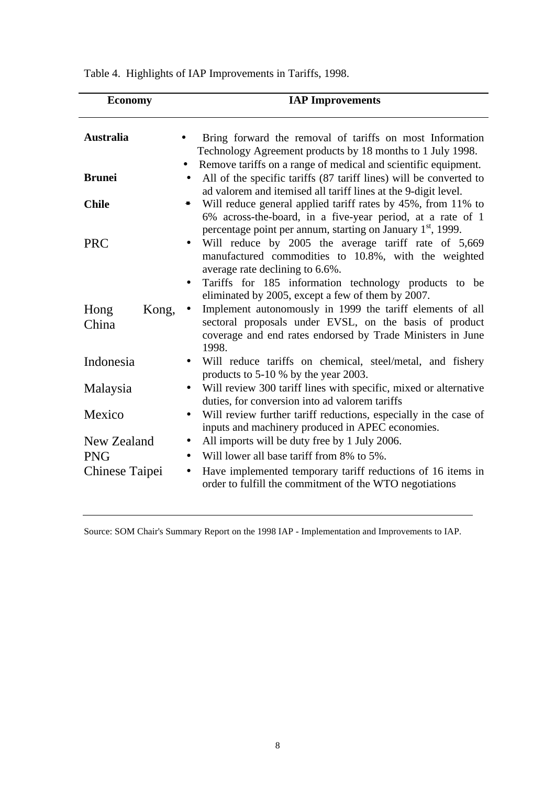| <b>Economy</b>         | <b>IAP Improvements</b>                                                                                                                                                                                             |
|------------------------|---------------------------------------------------------------------------------------------------------------------------------------------------------------------------------------------------------------------|
| <b>Australia</b>       | Bring forward the removal of tariffs on most Information<br>Technology Agreement products by 18 months to 1 July 1998.                                                                                              |
| <b>Brunei</b>          | Remove tariffs on a range of medical and scientific equipment.<br>All of the specific tariffs (87 tariff lines) will be converted to<br>$\bullet$<br>ad valorem and itemised all tariff lines at the 9-digit level. |
| <b>Chile</b>           | Will reduce general applied tariff rates by 45%, from 11% to<br>6% across-the-board, in a five-year period, at a rate of 1<br>percentage point per annum, starting on January 1 <sup>st</sup> , 1999.               |
| <b>PRC</b>             | Will reduce by 2005 the average tariff rate of 5,669<br>$\bullet$<br>manufactured commodities to 10.8%, with the weighted<br>average rate declining to 6.6%.                                                        |
|                        | Tariffs for 185 information technology products to be<br>$\bullet$<br>eliminated by 2005, except a few of them by 2007.                                                                                             |
| Kong,<br>Hong<br>China | Implement autonomously in 1999 the tariff elements of all<br>$\bullet$<br>sectoral proposals under EVSL, on the basis of product<br>coverage and end rates endorsed by Trade Ministers in June<br>1998.             |
| Indonesia              | Will reduce tariffs on chemical, steel/metal, and fishery<br>products to 5-10 % by the year 2003.                                                                                                                   |
| Malaysia               | Will review 300 tariff lines with specific, mixed or alternative<br>$\bullet$<br>duties, for conversion into ad valorem tariffs                                                                                     |
| Mexico                 | Will review further tariff reductions, especially in the case of<br>$\bullet$<br>inputs and machinery produced in APEC economies.                                                                                   |
| New Zealand            | All imports will be duty free by 1 July 2006.<br>$\bullet$                                                                                                                                                          |
| <b>PNG</b>             | Will lower all base tariff from 8% to 5%.<br>$\bullet$                                                                                                                                                              |
| Chinese Taipei         | Have implemented temporary tariff reductions of 16 items in<br>$\bullet$<br>order to fulfill the commitment of the WTO negotiations                                                                                 |

Table 4. Highlights of IAP Improvements in Tariffs, 1998.

Source: SOM Chair's Summary Report on the 1998 IAP - Implementation and Improvements to IAP.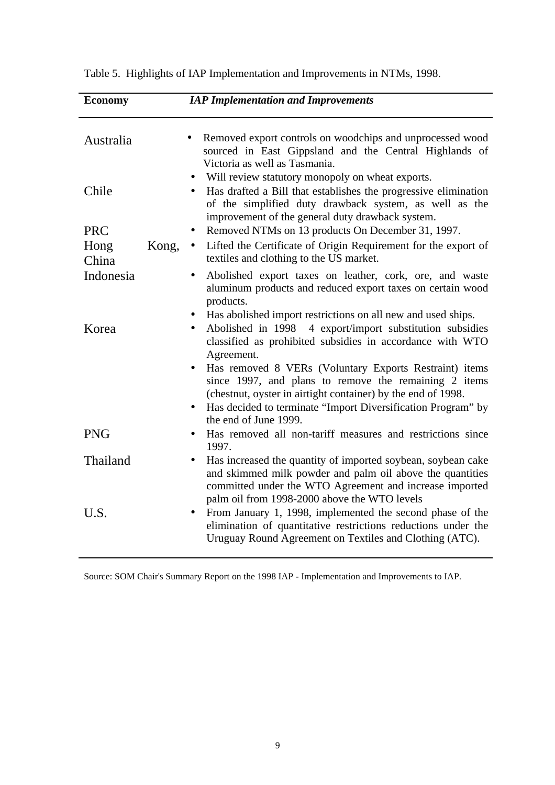| <b>Economy</b> |           | <b>IAP Implementation and Improvements</b>                                                                                                                                                                                                                               |
|----------------|-----------|--------------------------------------------------------------------------------------------------------------------------------------------------------------------------------------------------------------------------------------------------------------------------|
| Australia      |           | Removed export controls on woodchips and unprocessed wood<br>sourced in East Gippsland and the Central Highlands of<br>Victoria as well as Tasmania.                                                                                                                     |
| Chile          |           | Will review statutory monopoly on wheat exports.<br>Has drafted a Bill that establishes the progressive elimination<br>of the simplified duty drawback system, as well as the<br>improvement of the general duty drawback system.                                        |
| <b>PRC</b>     |           | Removed NTMs on 13 products On December 31, 1997.                                                                                                                                                                                                                        |
| Hong<br>China  | Kong,     | Lifted the Certificate of Origin Requirement for the export of<br>textiles and clothing to the US market.                                                                                                                                                                |
| Indonesia      | $\bullet$ | Abolished export taxes on leather, cork, ore, and waste<br>aluminum products and reduced export taxes on certain wood<br>products.                                                                                                                                       |
| Korea          |           | Has abolished import restrictions on all new and used ships.<br>Abolished in 1998 4 export/import substitution subsidies<br>classified as prohibited subsidies in accordance with WTO<br>Agreement.                                                                      |
|                |           | Has removed 8 VERs (Voluntary Exports Restraint) items<br>since 1997, and plans to remove the remaining 2 items<br>(chestnut, oyster in airtight container) by the end of 1998.<br>Has decided to terminate "Import Diversification Program" by<br>the end of June 1999. |
| <b>PNG</b>     |           | Has removed all non-tariff measures and restrictions since<br>1997.                                                                                                                                                                                                      |
| Thailand       | $\bullet$ | Has increased the quantity of imported soybean, soybean cake<br>and skimmed milk powder and palm oil above the quantities<br>committed under the WTO Agreement and increase imported<br>palm oil from 1998-2000 above the WTO levels                                     |
| U.S.           |           | From January 1, 1998, implemented the second phase of the<br>elimination of quantitative restrictions reductions under the<br>Uruguay Round Agreement on Textiles and Clothing (ATC).                                                                                    |

Table 5. Highlights of IAP Implementation and Improvements in NTMs, 1998.

Source: SOM Chair's Summary Report on the 1998 IAP - Implementation and Improvements to IAP.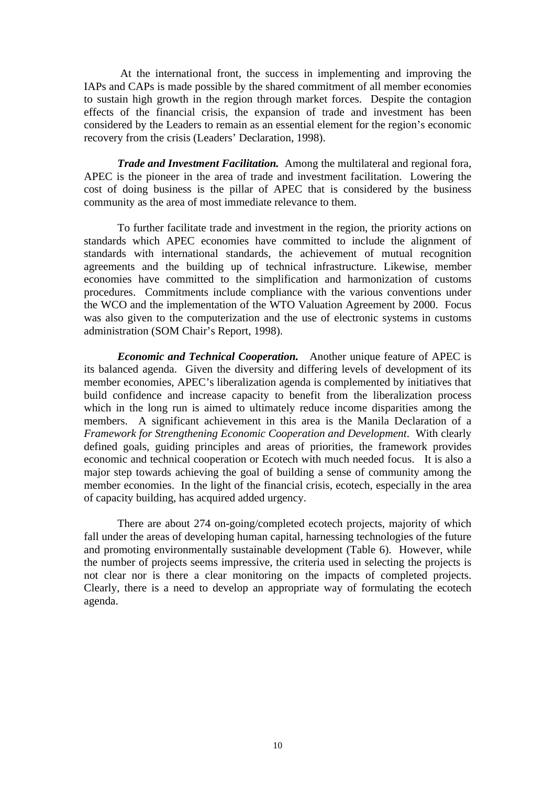At the international front, the success in implementing and improving the IAPs and CAPs is made possible by the shared commitment of all member economies to sustain high growth in the region through market forces. Despite the contagion effects of the financial crisis, the expansion of trade and investment has been considered by the Leaders to remain as an essential element for the region's economic recovery from the crisis (Leaders' Declaration, 1998).

*Trade and Investment Facilitation.* Among the multilateral and regional fora, APEC is the pioneer in the area of trade and investment facilitation. Lowering the cost of doing business is the pillar of APEC that is considered by the business community as the area of most immediate relevance to them.

To further facilitate trade and investment in the region, the priority actions on standards which APEC economies have committed to include the alignment of standards with international standards, the achievement of mutual recognition agreements and the building up of technical infrastructure. Likewise, member economies have committed to the simplification and harmonization of customs procedures. Commitments include compliance with the various conventions under the WCO and the implementation of the WTO Valuation Agreement by 2000. Focus was also given to the computerization and the use of electronic systems in customs administration (SOM Chair's Report, 1998).

*Economic and Technical Cooperation.* Another unique feature of APEC is its balanced agenda. Given the diversity and differing levels of development of its member economies, APEC's liberalization agenda is complemented by initiatives that build confidence and increase capacity to benefit from the liberalization process which in the long run is aimed to ultimately reduce income disparities among the members. A significant achievement in this area is the Manila Declaration of a *Framework for Strengthening Economic Cooperation and Development*. With clearly defined goals, guiding principles and areas of priorities, the framework provides economic and technical cooperation or Ecotech with much needed focus. It is also a major step towards achieving the goal of building a sense of community among the member economies. In the light of the financial crisis, ecotech, especially in the area of capacity building, has acquired added urgency.

There are about 274 on-going/completed ecotech projects, majority of which fall under the areas of developing human capital, harnessing technologies of the future and promoting environmentally sustainable development (Table 6). However, while the number of projects seems impressive, the criteria used in selecting the projects is not clear nor is there a clear monitoring on the impacts of completed projects. Clearly, there is a need to develop an appropriate way of formulating the ecotech agenda.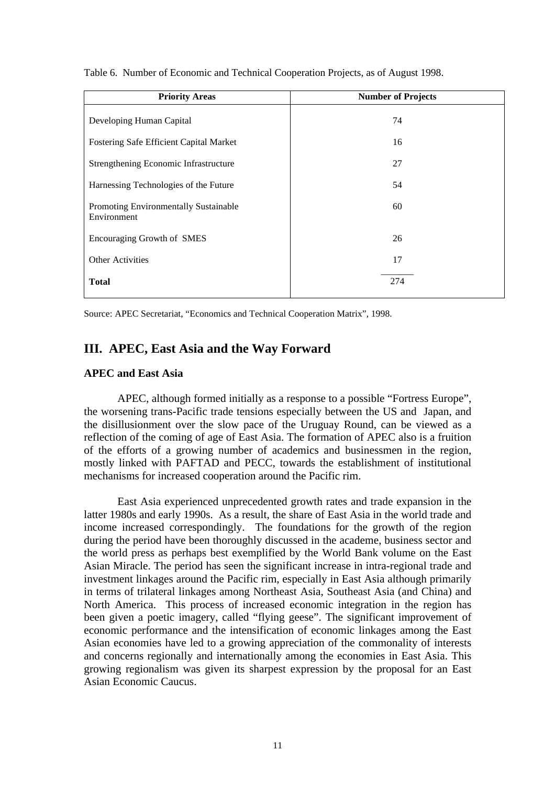| <b>Priority Areas</b>                                       | <b>Number of Projects</b> |
|-------------------------------------------------------------|---------------------------|
| Developing Human Capital                                    | 74                        |
| <b>Fostering Safe Efficient Capital Market</b>              | 16                        |
| Strengthening Economic Infrastructure                       | 27                        |
| Harnessing Technologies of the Future                       | 54                        |
| <b>Promoting Environmentally Sustainable</b><br>Environment | 60                        |
| Encouraging Growth of SMES                                  | 26                        |
| <b>Other Activities</b>                                     | 17                        |
| <b>Total</b>                                                | 274                       |

Table 6. Number of Economic and Technical Cooperation Projects, as of August 1998.

Source: APEC Secretariat, "Economics and Technical Cooperation Matrix", 1998.

## **III. APEC, East Asia and the Way Forward**

### **APEC and East Asia**

APEC, although formed initially as a response to a possible "Fortress Europe", the worsening trans-Pacific trade tensions especially between the US and Japan, and the disillusionment over the slow pace of the Uruguay Round, can be viewed as a reflection of the coming of age of East Asia. The formation of APEC also is a fruition of the efforts of a growing number of academics and businessmen in the region, mostly linked with PAFTAD and PECC, towards the establishment of institutional mechanisms for increased cooperation around the Pacific rim.

East Asia experienced unprecedented growth rates and trade expansion in the latter 1980s and early 1990s. As a result, the share of East Asia in the world trade and income increased correspondingly. The foundations for the growth of the region during the period have been thoroughly discussed in the academe, business sector and the world press as perhaps best exemplified by the World Bank volume on the East Asian Miracle. The period has seen the significant increase in intra-regional trade and investment linkages around the Pacific rim, especially in East Asia although primarily in terms of trilateral linkages among Northeast Asia, Southeast Asia (and China) and North America. This process of increased economic integration in the region has been given a poetic imagery, called "flying geese". The significant improvement of economic performance and the intensification of economic linkages among the East Asian economies have led to a growing appreciation of the commonality of interests and concerns regionally and internationally among the economies in East Asia. This growing regionalism was given its sharpest expression by the proposal for an East Asian Economic Caucus.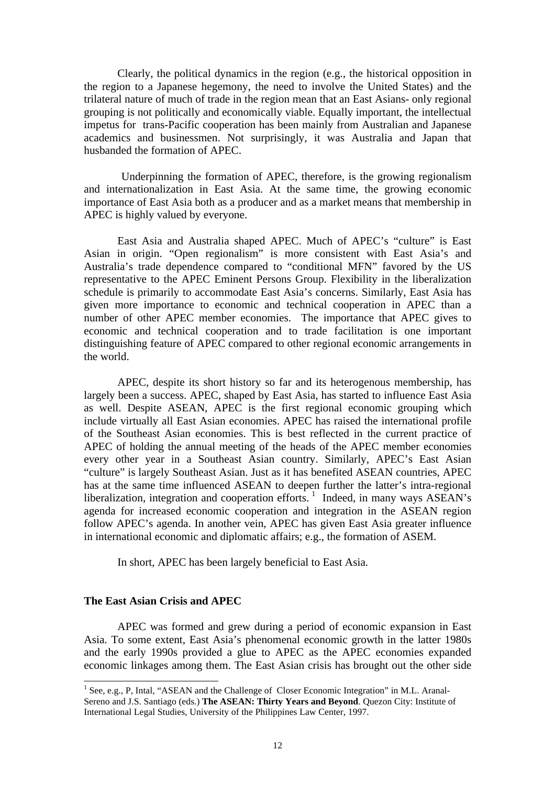Clearly, the political dynamics in the region (e.g., the historical opposition in the region to a Japanese hegemony, the need to involve the United States) and the trilateral nature of much of trade in the region mean that an East Asians- only regional grouping is not politically and economically viable. Equally important, the intellectual impetus for trans-Pacific cooperation has been mainly from Australian and Japanese academics and businessmen. Not surprisingly, it was Australia and Japan that husbanded the formation of APEC.

 Underpinning the formation of APEC, therefore, is the growing regionalism and internationalization in East Asia. At the same time, the growing economic importance of East Asia both as a producer and as a market means that membership in APEC is highly valued by everyone.

East Asia and Australia shaped APEC. Much of APEC's "culture" is East Asian in origin. "Open regionalism" is more consistent with East Asia's and Australia's trade dependence compared to "conditional MFN" favored by the US representative to the APEC Eminent Persons Group. Flexibility in the liberalization schedule is primarily to accommodate East Asia's concerns. Similarly, East Asia has given more importance to economic and technical cooperation in APEC than a number of other APEC member economies. The importance that APEC gives to economic and technical cooperation and to trade facilitation is one important distinguishing feature of APEC compared to other regional economic arrangements in the world.

APEC, despite its short history so far and its heterogenous membership, has largely been a success. APEC, shaped by East Asia, has started to influence East Asia as well. Despite ASEAN, APEC is the first regional economic grouping which include virtually all East Asian economies. APEC has raised the international profile of the Southeast Asian economies. This is best reflected in the current practice of APEC of holding the annual meeting of the heads of the APEC member economies every other year in a Southeast Asian country. Similarly, APEC's East Asian "culture" is largely Southeast Asian. Just as it has benefited ASEAN countries, APEC has at the same time influenced ASEAN to deepen further the latter's intra-regional liberalization, integration and cooperation efforts.<sup>1</sup> Indeed, in many ways  $ASEAN's$ agenda for increased economic cooperation and integration in the ASEAN region follow APEC's agenda. In another vein, APEC has given East Asia greater influence in international economic and diplomatic affairs; e.g., the formation of ASEM.

In short, APEC has been largely beneficial to East Asia.

## **The East Asian Crisis and APEC**

 $\overline{a}$ 

APEC was formed and grew during a period of economic expansion in East Asia. To some extent, East Asia's phenomenal economic growth in the latter 1980s and the early 1990s provided a glue to APEC as the APEC economies expanded economic linkages among them. The East Asian crisis has brought out the other side

<sup>&</sup>lt;sup>1</sup> See, e.g., P, Intal, "ASEAN and the Challenge of Closer Economic Integration" in M.L. Aranal-Sereno and J.S. Santiago (eds.) **The ASEAN: Thirty Years and Beyond**. Quezon City: Institute of International Legal Studies, University of the Philippines Law Center, 1997.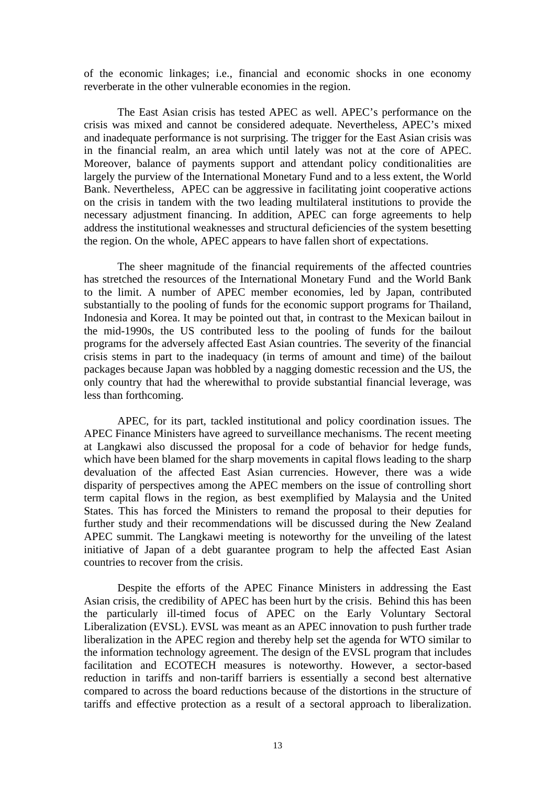of the economic linkages; i.e., financial and economic shocks in one economy reverberate in the other vulnerable economies in the region.

The East Asian crisis has tested APEC as well. APEC's performance on the crisis was mixed and cannot be considered adequate. Nevertheless, APEC's mixed and inadequate performance is not surprising. The trigger for the East Asian crisis was in the financial realm, an area which until lately was not at the core of APEC. Moreover, balance of payments support and attendant policy conditionalities are largely the purview of the International Monetary Fund and to a less extent, the World Bank. Nevertheless, APEC can be aggressive in facilitating joint cooperative actions on the crisis in tandem with the two leading multilateral institutions to provide the necessary adjustment financing. In addition, APEC can forge agreements to help address the institutional weaknesses and structural deficiencies of the system besetting the region. On the whole, APEC appears to have fallen short of expectations.

The sheer magnitude of the financial requirements of the affected countries has stretched the resources of the International Monetary Fund and the World Bank to the limit. A number of APEC member economies, led by Japan, contributed substantially to the pooling of funds for the economic support programs for Thailand, Indonesia and Korea. It may be pointed out that, in contrast to the Mexican bailout in the mid-1990s, the US contributed less to the pooling of funds for the bailout programs for the adversely affected East Asian countries. The severity of the financial crisis stems in part to the inadequacy (in terms of amount and time) of the bailout packages because Japan was hobbled by a nagging domestic recession and the US, the only country that had the wherewithal to provide substantial financial leverage, was less than forthcoming.

APEC, for its part, tackled institutional and policy coordination issues. The APEC Finance Ministers have agreed to surveillance mechanisms. The recent meeting at Langkawi also discussed the proposal for a code of behavior for hedge funds, which have been blamed for the sharp movements in capital flows leading to the sharp devaluation of the affected East Asian currencies. However, there was a wide disparity of perspectives among the APEC members on the issue of controlling short term capital flows in the region, as best exemplified by Malaysia and the United States. This has forced the Ministers to remand the proposal to their deputies for further study and their recommendations will be discussed during the New Zealand APEC summit. The Langkawi meeting is noteworthy for the unveiling of the latest initiative of Japan of a debt guarantee program to help the affected East Asian countries to recover from the crisis.

Despite the efforts of the APEC Finance Ministers in addressing the East Asian crisis, the credibility of APEC has been hurt by the crisis. Behind this has been the particularly ill-timed focus of APEC on the Early Voluntary Sectoral Liberalization (EVSL). EVSL was meant as an APEC innovation to push further trade liberalization in the APEC region and thereby help set the agenda for WTO similar to the information technology agreement. The design of the EVSL program that includes facilitation and ECOTECH measures is noteworthy. However, a sector-based reduction in tariffs and non-tariff barriers is essentially a second best alternative compared to across the board reductions because of the distortions in the structure of tariffs and effective protection as a result of a sectoral approach to liberalization.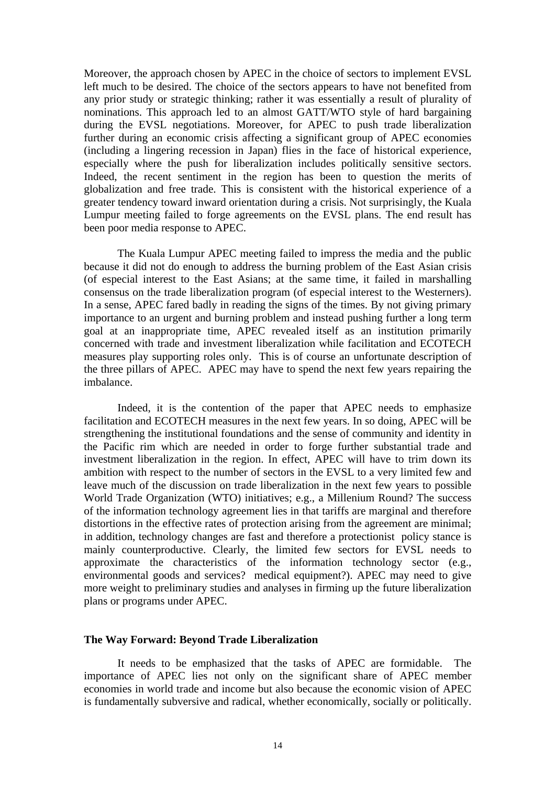Moreover, the approach chosen by APEC in the choice of sectors to implement EVSL left much to be desired. The choice of the sectors appears to have not benefited from any prior study or strategic thinking; rather it was essentially a result of plurality of nominations. This approach led to an almost GATT/WTO style of hard bargaining during the EVSL negotiations. Moreover, for APEC to push trade liberalization further during an economic crisis affecting a significant group of APEC economies (including a lingering recession in Japan) flies in the face of historical experience, especially where the push for liberalization includes politically sensitive sectors. Indeed, the recent sentiment in the region has been to question the merits of globalization and free trade. This is consistent with the historical experience of a greater tendency toward inward orientation during a crisis. Not surprisingly, the Kuala Lumpur meeting failed to forge agreements on the EVSL plans. The end result has been poor media response to APEC.

The Kuala Lumpur APEC meeting failed to impress the media and the public because it did not do enough to address the burning problem of the East Asian crisis (of especial interest to the East Asians; at the same time, it failed in marshalling consensus on the trade liberalization program (of especial interest to the Westerners). In a sense, APEC fared badly in reading the signs of the times. By not giving primary importance to an urgent and burning problem and instead pushing further a long term goal at an inappropriate time, APEC revealed itself as an institution primarily concerned with trade and investment liberalization while facilitation and ECOTECH measures play supporting roles only. This is of course an unfortunate description of the three pillars of APEC. APEC may have to spend the next few years repairing the imbalance.

Indeed, it is the contention of the paper that APEC needs to emphasize facilitation and ECOTECH measures in the next few years. In so doing, APEC will be strengthening the institutional foundations and the sense of community and identity in the Pacific rim which are needed in order to forge further substantial trade and investment liberalization in the region. In effect, APEC will have to trim down its ambition with respect to the number of sectors in the EVSL to a very limited few and leave much of the discussion on trade liberalization in the next few years to possible World Trade Organization (WTO) initiatives; e.g., a Millenium Round? The success of the information technology agreement lies in that tariffs are marginal and therefore distortions in the effective rates of protection arising from the agreement are minimal; in addition, technology changes are fast and therefore a protectionist policy stance is mainly counterproductive. Clearly, the limited few sectors for EVSL needs to approximate the characteristics of the information technology sector (e.g., environmental goods and services? medical equipment?). APEC may need to give more weight to preliminary studies and analyses in firming up the future liberalization plans or programs under APEC.

## **The Way Forward: Beyond Trade Liberalization**

It needs to be emphasized that the tasks of APEC are formidable. The importance of APEC lies not only on the significant share of APEC member economies in world trade and income but also because the economic vision of APEC is fundamentally subversive and radical, whether economically, socially or politically.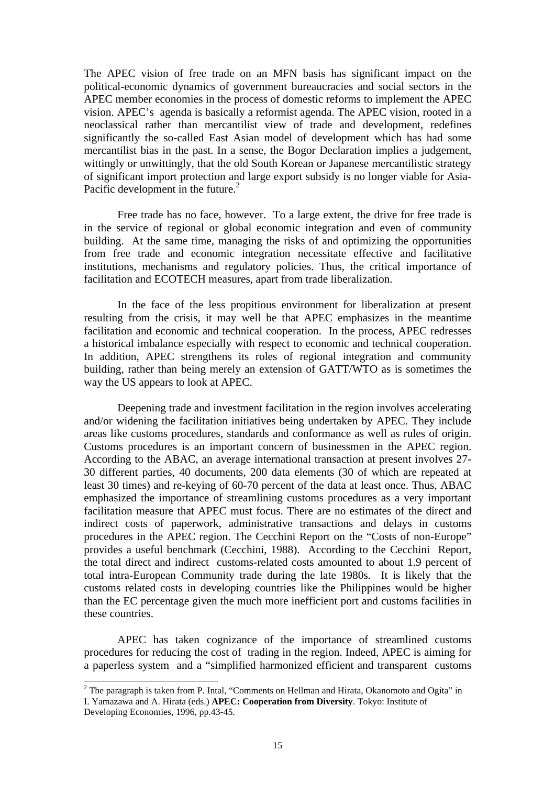The APEC vision of free trade on an MFN basis has significant impact on the political-economic dynamics of government bureaucracies and social sectors in the APEC member economies in the process of domestic reforms to implement the APEC vision. APEC's agenda is basically a reformist agenda. The APEC vision, rooted in a neoclassical rather than mercantilist view of trade and development, redefines significantly the so-called East Asian model of development which has had some mercantilist bias in the past. In a sense, the Bogor Declaration implies a judgement, wittingly or unwittingly, that the old South Korean or Japanese mercantilistic strategy of significant import protection and large export subsidy is no longer viable for Asia-Pacific development in the future. $^{2}$ 

Free trade has no face, however. To a large extent, the drive for free trade is in the service of regional or global economic integration and even of community building. At the same time, managing the risks of and optimizing the opportunities from free trade and economic integration necessitate effective and facilitative institutions, mechanisms and regulatory policies. Thus, the critical importance of facilitation and ECOTECH measures, apart from trade liberalization.

In the face of the less propitious environment for liberalization at present resulting from the crisis, it may well be that APEC emphasizes in the meantime facilitation and economic and technical cooperation. In the process, APEC redresses a historical imbalance especially with respect to economic and technical cooperation. In addition, APEC strengthens its roles of regional integration and community building, rather than being merely an extension of GATT/WTO as is sometimes the way the US appears to look at APEC.

Deepening trade and investment facilitation in the region involves accelerating and/or widening the facilitation initiatives being undertaken by APEC. They include areas like customs procedures, standards and conformance as well as rules of origin. Customs procedures is an important concern of businessmen in the APEC region. According to the ABAC, an average international transaction at present involves 27- 30 different parties, 40 documents, 200 data elements (30 of which are repeated at least 30 times) and re-keying of 60-70 percent of the data at least once. Thus, ABAC emphasized the importance of streamlining customs procedures as a very important facilitation measure that APEC must focus. There are no estimates of the direct and indirect costs of paperwork, administrative transactions and delays in customs procedures in the APEC region. The Cecchini Report on the "Costs of non-Europe" provides a useful benchmark (Cecchini, 1988). According to the Cecchini Report, the total direct and indirect customs-related costs amounted to about 1.9 percent of total intra-European Community trade during the late 1980s. It is likely that the customs related costs in developing countries like the Philippines would be higher than the EC percentage given the much more inefficient port and customs facilities in these countries.

APEC has taken cognizance of the importance of streamlined customs procedures for reducing the cost of trading in the region. Indeed, APEC is aiming for a paperless system and a "simplified harmonized efficient and transparent customs

<sup>&</sup>lt;sup>2</sup> The paragraph is taken from P. Intal, "Comments on Hellman and Hirata, Okanomoto and Ogita" in I. Yamazawa and A. Hirata (eds.) **APEC: Cooperation from Diversity**. Tokyo: Institute of Developing Economies, 1996, pp.43-45.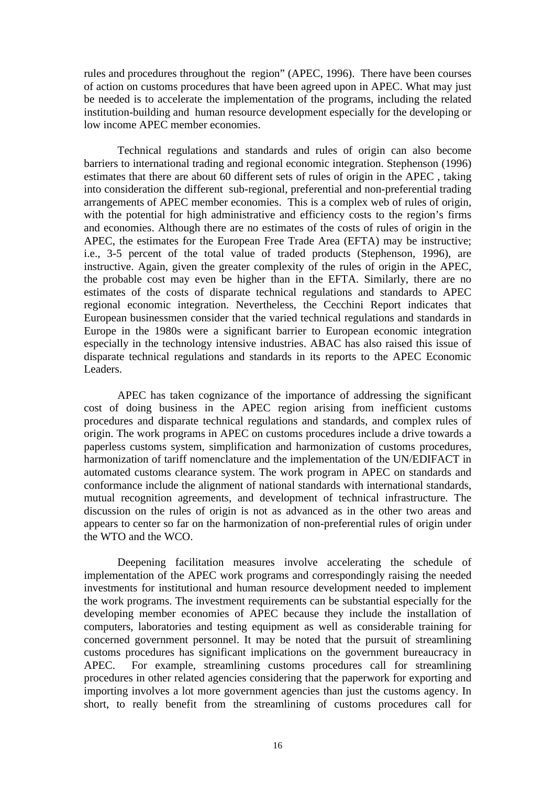rules and procedures throughout the region" (APEC, 1996). There have been courses of action on customs procedures that have been agreed upon in APEC. What may just be needed is to accelerate the implementation of the programs, including the related institution-building and human resource development especially for the developing or low income APEC member economies.

Technical regulations and standards and rules of origin can also become barriers to international trading and regional economic integration. Stephenson (1996) estimates that there are about 60 different sets of rules of origin in the APEC , taking into consideration the different sub-regional, preferential and non-preferential trading arrangements of APEC member economies. This is a complex web of rules of origin, with the potential for high administrative and efficiency costs to the region's firms and economies. Although there are no estimates of the costs of rules of origin in the APEC, the estimates for the European Free Trade Area (EFTA) may be instructive; i.e., 3-5 percent of the total value of traded products (Stephenson, 1996), are instructive. Again, given the greater complexity of the rules of origin in the APEC, the probable cost may even be higher than in the EFTA. Similarly, there are no estimates of the costs of disparate technical regulations and standards to APEC regional economic integration. Nevertheless, the Cecchini Report indicates that European businessmen consider that the varied technical regulations and standards in Europe in the 1980s were a significant barrier to European economic integration especially in the technology intensive industries. ABAC has also raised this issue of disparate technical regulations and standards in its reports to the APEC Economic Leaders.

APEC has taken cognizance of the importance of addressing the significant cost of doing business in the APEC region arising from inefficient customs procedures and disparate technical regulations and standards, and complex rules of origin. The work programs in APEC on customs procedures include a drive towards a paperless customs system, simplification and harmonization of customs procedures, harmonization of tariff nomenclature and the implementation of the UN/EDIFACT in automated customs clearance system. The work program in APEC on standards and conformance include the alignment of national standards with international standards, mutual recognition agreements, and development of technical infrastructure. The discussion on the rules of origin is not as advanced as in the other two areas and appears to center so far on the harmonization of non-preferential rules of origin under the WTO and the WCO.

Deepening facilitation measures involve accelerating the schedule of implementation of the APEC work programs and correspondingly raising the needed investments for institutional and human resource development needed to implement the work programs. The investment requirements can be substantial especially for the developing member economies of APEC because they include the installation of computers, laboratories and testing equipment as well as considerable training for concerned government personnel. It may be noted that the pursuit of streamlining customs procedures has significant implications on the government bureaucracy in APEC. For example, streamlining customs procedures call for streamlining procedures in other related agencies considering that the paperwork for exporting and importing involves a lot more government agencies than just the customs agency. In short, to really benefit from the streamlining of customs procedures call for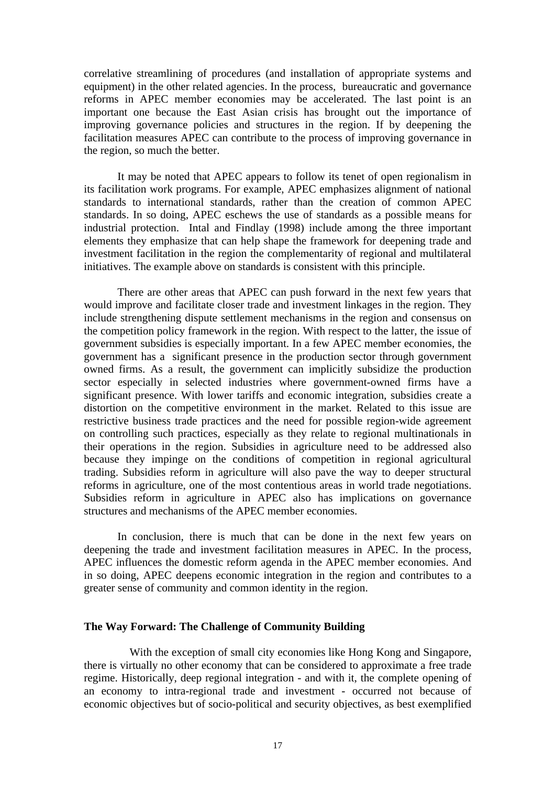correlative streamlining of procedures (and installation of appropriate systems and equipment) in the other related agencies. In the process, bureaucratic and governance reforms in APEC member economies may be accelerated. The last point is an important one because the East Asian crisis has brought out the importance of improving governance policies and structures in the region. If by deepening the facilitation measures APEC can contribute to the process of improving governance in the region, so much the better.

It may be noted that APEC appears to follow its tenet of open regionalism in its facilitation work programs. For example, APEC emphasizes alignment of national standards to international standards, rather than the creation of common APEC standards. In so doing, APEC eschews the use of standards as a possible means for industrial protection. Intal and Findlay (1998) include among the three important elements they emphasize that can help shape the framework for deepening trade and investment facilitation in the region the complementarity of regional and multilateral initiatives. The example above on standards is consistent with this principle.

There are other areas that APEC can push forward in the next few years that would improve and facilitate closer trade and investment linkages in the region. They include strengthening dispute settlement mechanisms in the region and consensus on the competition policy framework in the region. With respect to the latter, the issue of government subsidies is especially important. In a few APEC member economies, the government has a significant presence in the production sector through government owned firms. As a result, the government can implicitly subsidize the production sector especially in selected industries where government-owned firms have a significant presence. With lower tariffs and economic integration, subsidies create a distortion on the competitive environment in the market. Related to this issue are restrictive business trade practices and the need for possible region-wide agreement on controlling such practices, especially as they relate to regional multinationals in their operations in the region. Subsidies in agriculture need to be addressed also because they impinge on the conditions of competition in regional agricultural trading. Subsidies reform in agriculture will also pave the way to deeper structural reforms in agriculture, one of the most contentious areas in world trade negotiations. Subsidies reform in agriculture in APEC also has implications on governance structures and mechanisms of the APEC member economies.

In conclusion, there is much that can be done in the next few years on deepening the trade and investment facilitation measures in APEC. In the process, APEC influences the domestic reform agenda in the APEC member economies. And in so doing, APEC deepens economic integration in the region and contributes to a greater sense of community and common identity in the region.

#### **The Way Forward: The Challenge of Community Building**

 With the exception of small city economies like Hong Kong and Singapore, there is virtually no other economy that can be considered to approximate a free trade regime. Historically, deep regional integration - and with it, the complete opening of an economy to intra-regional trade and investment - occurred not because of economic objectives but of socio-political and security objectives, as best exemplified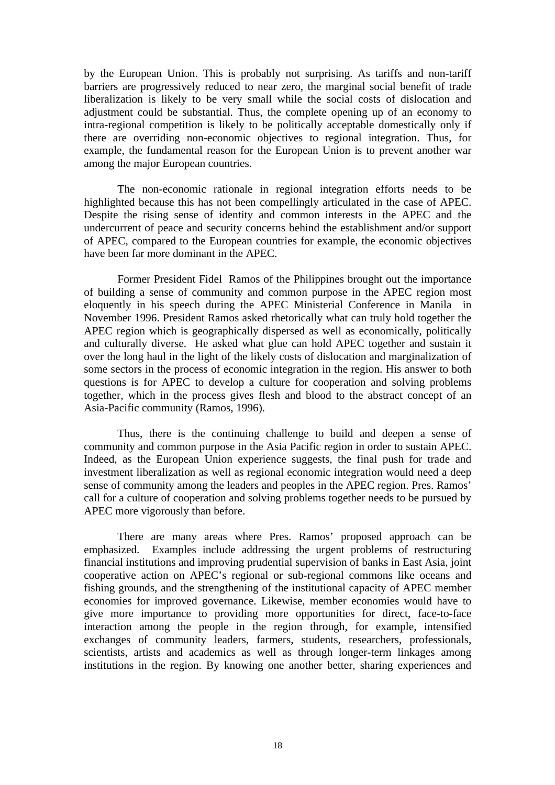by the European Union. This is probably not surprising. As tariffs and non-tariff barriers are progressively reduced to near zero, the marginal social benefit of trade liberalization is likely to be very small while the social costs of dislocation and adjustment could be substantial. Thus, the complete opening up of an economy to intra-regional competition is likely to be politically acceptable domestically only if there are overriding non-economic objectives to regional integration. Thus, for example, the fundamental reason for the European Union is to prevent another war among the major European countries.

The non-economic rationale in regional integration efforts needs to be highlighted because this has not been compellingly articulated in the case of APEC. Despite the rising sense of identity and common interests in the APEC and the undercurrent of peace and security concerns behind the establishment and/or support of APEC, compared to the European countries for example, the economic objectives have been far more dominant in the APEC.

Former President Fidel Ramos of the Philippines brought out the importance of building a sense of community and common purpose in the APEC region most eloquently in his speech during the APEC Ministerial Conference in Manila in November 1996. President Ramos asked rhetorically what can truly hold together the APEC region which is geographically dispersed as well as economically, politically and culturally diverse. He asked what glue can hold APEC together and sustain it over the long haul in the light of the likely costs of dislocation and marginalization of some sectors in the process of economic integration in the region. His answer to both questions is for APEC to develop a culture for cooperation and solving problems together, which in the process gives flesh and blood to the abstract concept of an Asia-Pacific community (Ramos, 1996).

Thus, there is the continuing challenge to build and deepen a sense of community and common purpose in the Asia Pacific region in order to sustain APEC. Indeed, as the European Union experience suggests, the final push for trade and investment liberalization as well as regional economic integration would need a deep sense of community among the leaders and peoples in the APEC region. Pres. Ramos' call for a culture of cooperation and solving problems together needs to be pursued by APEC more vigorously than before.

There are many areas where Pres. Ramos' proposed approach can be emphasized. Examples include addressing the urgent problems of restructuring financial institutions and improving prudential supervision of banks in East Asia, joint cooperative action on APEC's regional or sub-regional commons like oceans and fishing grounds, and the strengthening of the institutional capacity of APEC member economies for improved governance. Likewise, member economies would have to give more importance to providing more opportunities for direct, face-to-face interaction among the people in the region through, for example, intensified exchanges of community leaders, farmers, students, researchers, professionals, scientists, artists and academics as well as through longer-term linkages among institutions in the region. By knowing one another better, sharing experiences and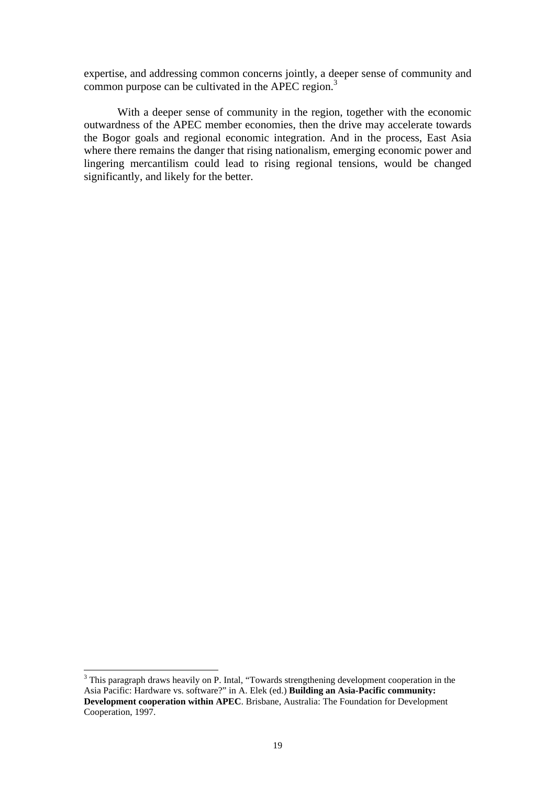expertise, and addressing common concerns jointly, a deeper sense of community and common purpose can be cultivated in the APEC region.<sup>3</sup>

With a deeper sense of community in the region, together with the economic outwardness of the APEC member economies, then the drive may accelerate towards the Bogor goals and regional economic integration. And in the process, East Asia where there remains the danger that rising nationalism, emerging economic power and lingering mercantilism could lead to rising regional tensions, would be changed significantly, and likely for the better.

<sup>&</sup>lt;sup>3</sup> This paragraph draws heavily on P. Intal, "Towards strengthening development cooperation in the Asia Pacific: Hardware vs. software?" in A. Elek (ed.) **Building an Asia-Pacific community: Development cooperation within APEC**. Brisbane, Australia: The Foundation for Development Cooperation, 1997.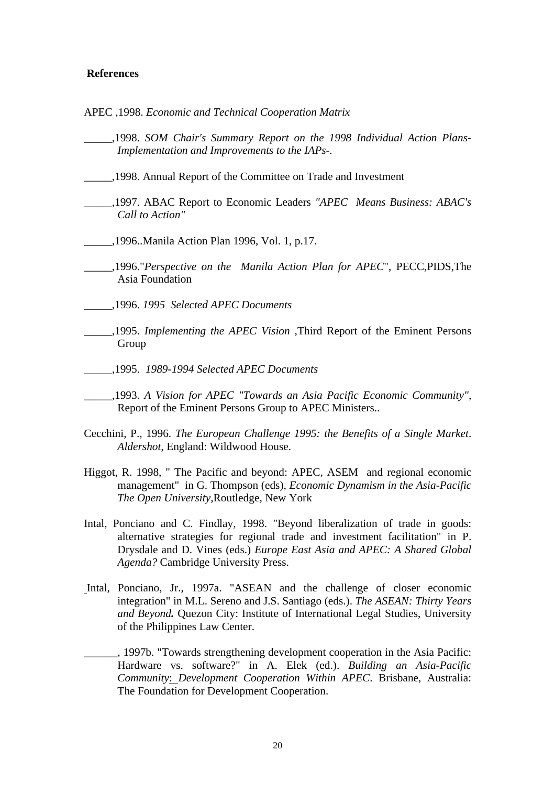#### **References**

- APEC ,1998. *Economic and Technical Cooperation Matrix*
- \_\_\_\_\_,1998. *SOM Chair's Summary Report on the 1998 Individual Action Plans-Implementation and Improvements to the IAPs-.*
- \_\_\_\_\_,1998. Annual Report of the Committee on Trade and Investment
- \_\_\_\_\_,1997. ABAC Report to Economic Leaders *"APEC Means Business: ABAC's Call to Action"*
- \_\_\_\_\_,1996..Manila Action Plan 1996, Vol. 1, p.17.
- \_\_\_\_\_,1996."*Perspective on the Manila Action Plan for APEC*", PECC,PIDS,The Asia Foundation
- \_\_\_\_\_,1996. *1995 Selected APEC Documents*
- \_\_\_\_\_,1995. *Implementing the APEC Vision* ,Third Report of the Eminent Persons Group
- \_\_\_\_\_,1995. *1989-1994 Selected APEC Documents*
- \_\_\_\_\_,1993. *A Vision for APEC "Towards an Asia Pacific Economic Community",* Report of the Eminent Persons Group to APEC Ministers..
- Cecchini, P., 1996. *The European Challenge 1995: the Benefits of a Single Market*. *Aldershot*, England: Wildwood House.
- Higgot, R. 1998, " The Pacific and beyond: APEC, ASEM and regional economic management" in G. Thompson (eds), *Economic Dynamism in the Asia-Pacific The Open University,*Routledge, New York
- Intal, Ponciano and C. Findlay, 1998. "Beyond liberalization of trade in goods: alternative strategies for regional trade and investment facilitation" in P. Drysdale and D. Vines (eds.) *Europe East Asia and APEC: A Shared Global Agenda?* Cambridge University Press.
- Intal, Ponciano, Jr., 1997a. "ASEAN and the challenge of closer economic integration" in M.L. Sereno and J.S. Santiago (eds.). *The ASEAN: Thirty Years and Beyond.* Quezon City: Institute of International Legal Studies, University of the Philippines Law Center.
- 1997b. "Towards strengthening development cooperation in the Asia Pacific: Hardware vs. software?" in A. Elek (ed.). *Building an Asia-Pacific Community*: *Development Cooperation Within APEC*. Brisbane, Australia: The Foundation for Development Cooperation.